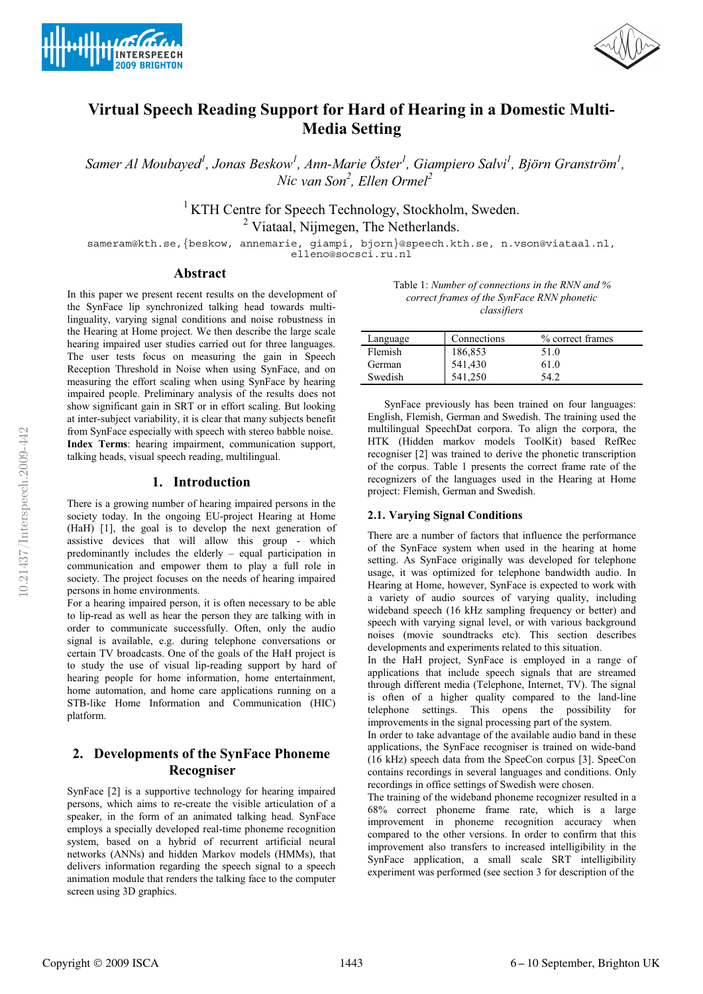



# **Virtual Speech Reading Support for Hard of Hearing in a Domestic Multi-Media Setting**

*Samer Al Moubayed<sup>1</sup> , Jonas Beskow<sup>1</sup> , Ann-Marie Öster<sup>1</sup> , Giampiero Salvi<sup>1</sup> , Björn Granström<sup>1</sup> , Nic van Son<sup>2</sup>*, *Ellen Ormel<sup>2</sup>* 

> <sup>1</sup> KTH Centre for Speech Technology, Stockholm, Sweden. <sup>2</sup> Viataal, Nijmegen, The Netherlands.

sameram@kth.se,{beskow, annemarie, giampi, bjorn}@speech.kth.se, n.vson@viataal.nl,

## **Abstract**

In this paper we present recent results on the development of the SynFace lip synchronized talking head towards multilinguality, varying signal conditions and noise robustness in the Hearing at Home project. We then describe the large scale hearing impaired user studies carried out for three languages. The user tests focus on measuring the gain in Speech Reception Threshold in Noise when using SynFace, and on measuring the effort scaling when using SynFace by hearing impaired people. Preliminary analysis of the results does not show significant gain in SRT or in effort scaling. But looking at inter-subject variability, it is clear that many subjects benefit from SynFace especially with speech with stereo babble noise. **Index Terms**: hearing impairment, communication support, talking heads, visual speech reading, multilingual.

### **1. Introduction**

There is a growing number of hearing impaired persons in the society today. In the ongoing EU-project Hearing at Home (HaH) [1], the goal is to develop the next generation of assistive devices that will allow this group - which predominantly includes the elderly – equal participation in communication and empower them to play a full role in society. The project focuses on the needs of hearing impaired persons in home environments.

For a hearing impaired person, it is often necessary to be able to lip-read as well as hear the person they are talking with in order to communicate successfully. Often, only the audio signal is available, e.g. during telephone conversations or certain TV broadcasts. One of the goals of the HaH project is to study the use of visual lip-reading support by hard of hearing people for home information, home entertainment, home automation, and home care applications running on a STB-like Home Information and Communication (HIC) platform.

## **2. Developments of the SynFace Phoneme Recogniser**

SynFace [2] is a supportive technology for hearing impaired persons, which aims to re-create the visible articulation of a speaker, in the form of an animated talking head. SynFace employs a specially developed real-time phoneme recognition system, based on a hybrid of recurrent artificial neural networks (ANNs) and hidden Markov models (HMMs), that delivers information regarding the speech signal to a speech animation module that renders the talking face to the computer screen using 3D graphics.

| Table 1: Number of connections in the RNN and $\%$ |
|----------------------------------------------------|
| correct frames of the SynFace RNN phonetic         |
| classifiers                                        |

| Language | Connections | % correct frames |
|----------|-------------|------------------|
| Flemish  | 186,853     | 51.0             |
| German   | 541,430     | 61.0             |
| Swedish  |             | - 13             |

SynFace previously has been trained on four languages: English, Flemish, German and Swedish. The training used the multilingual SpeechDat corpora. To align the corpora, the HTK (Hidden markov models ToolKit) based RefRec recogniser [2] was trained to derive the phonetic transcription of the corpus. Table 1 presents the correct frame rate of the recognizers of the languages used in the Hearing at Home project: Flemish, German and Swedish.

#### **2.1. Varying Signal Conditions**

There are a number of factors that influence the performance of the SynFace system when used in the hearing at home setting. As SynFace originally was developed for telephone usage, it was optimized for telephone bandwidth audio. In Hearing at Home, however, SynFace is expected to work with a variety of audio sources of varying quality, including wideband speech (16 kHz sampling frequency or better) and speech with varying signal level, or with various background noises (movie soundtracks etc). This section describes developments and experiments related to this situation.

In the HaH project, SynFace is employed in a range of applications that include speech signals that are streamed through different media (Telephone, Internet, TV). The signal is often of a higher quality compared to the land-line telephone settings. This opens the possibility for improvements in the signal processing part of the system.

In order to take advantage of the available audio band in these applications, the SynFace recogniser is trained on wide-band (16 kHz) speech data from the SpeeCon corpus [3]. SpeeCon contains recordings in several languages and conditions. Only recordings in office settings of Swedish were chosen.

The training of the wideband phoneme recognizer resulted in a 68% correct phoneme frame rate, which is a large improvement in phoneme recognition accuracy when compared to the other versions. In order to confirm that this improvement also transfers to increased intelligibility in the SynFace application, a small scale SRT intelligibility experiment was performed (see section 3 for description of the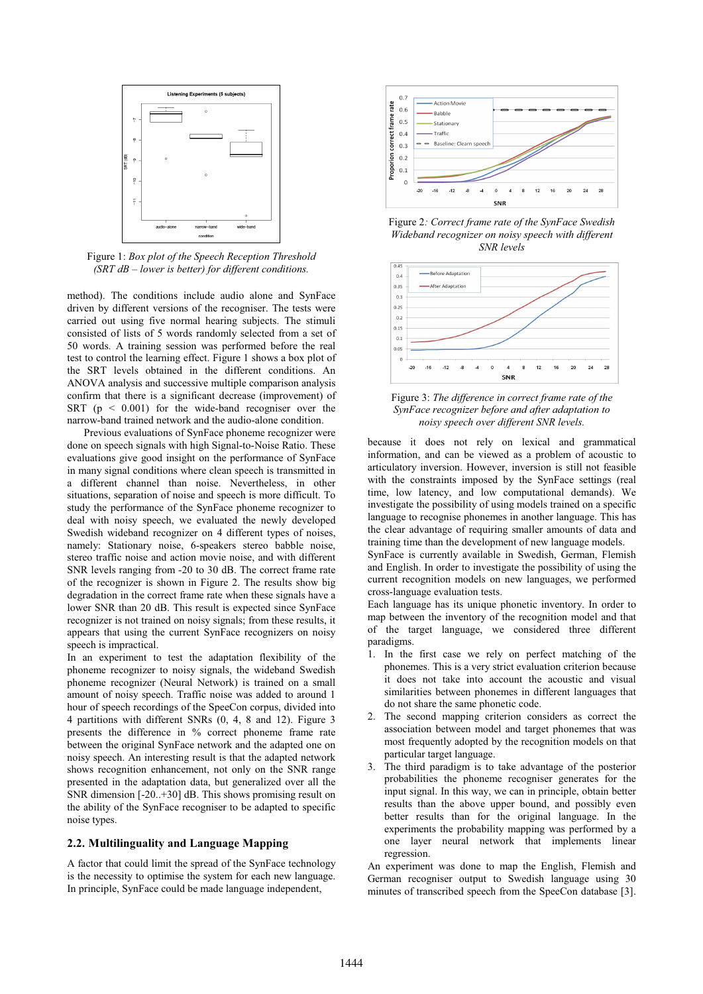

Figure 1: *Box plot of the Speech Reception Threshold (SRT dB – lower is better) for different conditions.*

method). The conditions include audio alone and SynFace driven by different versions of the recogniser. The tests were carried out using five normal hearing subjects. The stimuli consisted of lists of 5 words randomly selected from a set of 50 words. A training session was performed before the real test to control the learning effect. Figure 1 shows a box plot of the SRT levels obtained in the different conditions. An ANOVA analysis and successive multiple comparison analysis confirm that there is a significant decrease (improvement) of SRT ( $p \le 0.001$ ) for the wide-band recogniser over the narrow-band trained network and the audio-alone condition.

Previous evaluations of SynFace phoneme recognizer were done on speech signals with high Signal-to-Noise Ratio. These evaluations give good insight on the performance of SynFace in many signal conditions where clean speech is transmitted in a different channel than noise. Nevertheless, in other situations, separation of noise and speech is more difficult. To study the performance of the SynFace phoneme recognizer to deal with noisy speech, we evaluated the newly developed Swedish wideband recognizer on 4 different types of noises, namely: Stationary noise, 6-speakers stereo babble noise, stereo traffic noise and action movie noise, and with different SNR levels ranging from -20 to 30 dB. The correct frame rate of the recognizer is shown in Figure 2. The results show big degradation in the correct frame rate when these signals have a lower SNR than 20 dB. This result is expected since SynFace recognizer is not trained on noisy signals; from these results, it appears that using the current SynFace recognizers on noisy speech is impractical.

In an experiment to test the adaptation flexibility of the phoneme recognizer to noisy signals, the wideband Swedish phoneme recognizer (Neural Network) is trained on a small amount of noisy speech. Traffic noise was added to around 1 hour of speech recordings of the SpeeCon corpus, divided into 4 partitions with different SNRs (0, 4, 8 and 12). Figure 3 presents the difference in % correct phoneme frame rate between the original SynFace network and the adapted one on noisy speech. An interesting result is that the adapted network shows recognition enhancement, not only on the SNR range presented in the adaptation data, but generalized over all the SNR dimension [-20..+30] dB. This shows promising result on the ability of the SynFace recogniser to be adapted to specific noise types.

#### **2.2. Multilinguality and Language Mapping**

A factor that could limit the spread of the SynFace technology is the necessity to optimise the system for each new language. In principle, SynFace could be made language independent,



Figure 2*: Correct frame rate of the SynFace Swedish Wideband recognizer on noisy speech with different SNR levels* 



Figure 3: *The difference in correct frame rate of the SynFace recognizer before and after adaptation to noisy speech over different SNR levels.*

because it does not rely on lexical and grammatical information, and can be viewed as a problem of acoustic to articulatory inversion. However, inversion is still not feasible with the constraints imposed by the SynFace settings (real time, low latency, and low computational demands). We investigate the possibility of using models trained on a specific language to recognise phonemes in another language. This has the clear advantage of requiring smaller amounts of data and training time than the development of new language models.

SynFace is currently available in Swedish, German, Flemish and English. In order to investigate the possibility of using the current recognition models on new languages, we performed cross-language evaluation tests.

Each language has its unique phonetic inventory. In order to map between the inventory of the recognition model and that of the target language, we considered three different paradigms.

- 1. In the first case we rely on perfect matching of the phonemes. This is a very strict evaluation criterion because it does not take into account the acoustic and visual similarities between phonemes in different languages that do not share the same phonetic code.
- 2. The second mapping criterion considers as correct the association between model and target phonemes that was most frequently adopted by the recognition models on that particular target language.
- 3. The third paradigm is to take advantage of the posterior probabilities the phoneme recogniser generates for the input signal. In this way, we can in principle, obtain better results than the above upper bound, and possibly even better results than for the original language. In the experiments the probability mapping was performed by a one layer neural network that implements linear regression.

An experiment was done to map the English, Flemish and German recogniser output to Swedish language using 30 minutes of transcribed speech from the SpeeCon database [3].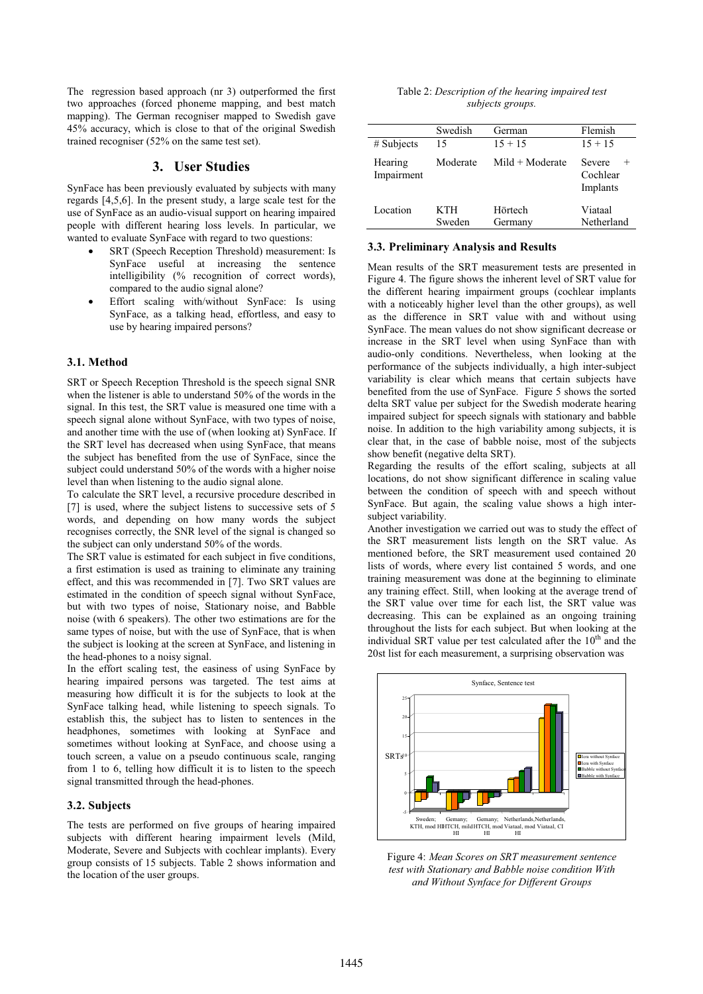The regression based approach (nr 3) outperformed the first two approaches (forced phoneme mapping, and best match mapping). The German recogniser mapped to Swedish gave 45% accuracy, which is close to that of the original Swedish trained recogniser (52% on the same test set).

## **3. User Studies**

SynFace has been previously evaluated by subjects with many regards [4,5,6]. In the present study, a large scale test for the use of SynFace as an audio-visual support on hearing impaired people with different hearing loss levels. In particular, we wanted to evaluate SynFace with regard to two questions:

- SRT (Speech Reception Threshold) measurement: Is SynFace useful at increasing the sentence intelligibility (% recognition of correct words), compared to the audio signal alone?
- Effort scaling with/without SynFace: Is using SynFace, as a talking head, effortless, and easy to use by hearing impaired persons?

#### **3.1. Method**

SRT or Speech Reception Threshold is the speech signal SNR when the listener is able to understand 50% of the words in the signal. In this test, the SRT value is measured one time with a speech signal alone without SynFace, with two types of noise, and another time with the use of (when looking at) SynFace. If the SRT level has decreased when using SynFace, that means the subject has benefited from the use of SynFace, since the subject could understand 50% of the words with a higher noise level than when listening to the audio signal alone.

To calculate the SRT level, a recursive procedure described in [7] is used, where the subject listens to successive sets of 5 words, and depending on how many words the subject recognises correctly, the SNR level of the signal is changed so the subject can only understand 50% of the words.

The SRT value is estimated for each subject in five conditions, a first estimation is used as training to eliminate any training effect, and this was recommended in [7]. Two SRT values are estimated in the condition of speech signal without SynFace, but with two types of noise, Stationary noise, and Babble noise (with 6 speakers). The other two estimations are for the same types of noise, but with the use of SynFace, that is when the subject is looking at the screen at SynFace, and listening in the head-phones to a noisy signal.

In the effort scaling test, the easiness of using SynFace by hearing impaired persons was targeted. The test aims at measuring how difficult it is for the subjects to look at the SynFace talking head, while listening to speech signals. To establish this, the subject has to listen to sentences in the headphones, sometimes with looking at SynFace and sometimes without looking at SynFace, and choose using a touch screen, a value on a pseudo continuous scale, ranging from 1 to 6, telling how difficult it is to listen to the speech signal transmitted through the head-phones.

#### **3.2. Subjects**

The tests are performed on five groups of hearing impaired subjects with different hearing impairment levels (Mild, Moderate, Severe and Subjects with cochlear implants). Every group consists of 15 subjects. Table 2 shows information and the location of the user groups.

| Table 2: Description of the hearing impaired test |                  |  |  |
|---------------------------------------------------|------------------|--|--|
|                                                   | subjects groups. |  |  |

|                       | Swedish       | German             | Flemish                                  |
|-----------------------|---------------|--------------------|------------------------------------------|
| # Subjects            | 15            | $15 + 15$          | $15 + 15$                                |
| Hearing<br>Impairment | Moderate      | $Mid + Moderate$   | Severe<br>$^{+}$<br>Cochlear<br>Implants |
| Location              | KTH<br>Sweden | Hörtech<br>Germany | Viataal<br>Netherland                    |

#### **3.3. Preliminary Analysis and Results**

Mean results of the SRT measurement tests are presented in Figure 4. The figure shows the inherent level of SRT value for the different hearing impairment groups (cochlear implants with a noticeably higher level than the other groups), as well as the difference in SRT value with and without using SynFace. The mean values do not show significant decrease or increase in the SRT level when using SynFace than with audio-only conditions. Nevertheless, when looking at the performance of the subjects individually, a high inter-subject variability is clear which means that certain subjects have benefited from the use of SynFace. Figure 5 shows the sorted delta SRT value per subject for the Swedish moderate hearing impaired subject for speech signals with stationary and babble noise. In addition to the high variability among subjects, it is clear that, in the case of babble noise, most of the subjects show benefit (negative delta SRT).

Regarding the results of the effort scaling, subjects at all locations, do not show significant difference in scaling value between the condition of speech with and speech without SynFace. But again, the scaling value shows a high intersubject variability.

Another investigation we carried out was to study the effect of the SRT measurement lists length on the SRT value. As mentioned before, the SRT measurement used contained 20 lists of words, where every list contained 5 words, and one training measurement was done at the beginning to eliminate any training effect. Still, when looking at the average trend of the SRT value over time for each list, the SRT value was decreasing. This can be explained as an ongoing training throughout the lists for each subject. But when looking at the individual SRT value per test calculated after the 10<sup>th</sup> and the 20st list for each measurement, a surprising observation was



Figure 4: *Mean Scores on SRT measurement sentence test with Stationary and Babble noise condition With and Without Synface for Different Groups*